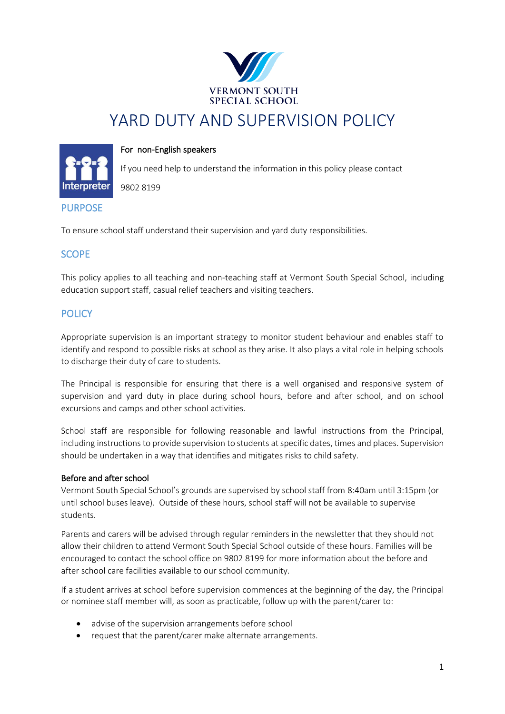

# YARD DUTY AND SUPERVISION POLICY

# For non-English speakers



If you need help to understand the information in this policy please contact

9802 8199

# PURPOSE

To ensure school staff understand their supervision and yard duty responsibilities.

# **SCOPE**

This policy applies to all teaching and non-teaching staff at Vermont South Special School, including education support staff, casual relief teachers and visiting teachers.

# **POLICY**

Appropriate supervision is an important strategy to monitor student behaviour and enables staff to identify and respond to possible risks at school as they arise. It also plays a vital role in helping schools to discharge their duty of care to students.

The Principal is responsible for ensuring that there is a well organised and responsive system of supervision and yard duty in place during school hours, before and after school, and on school excursions and camps and other school activities.

School staff are responsible for following reasonable and lawful instructions from the Principal, including instructions to provide supervision to students at specific dates, times and places. Supervision should be undertaken in a way that identifies and mitigates risks to child safety.

# Before and after school

Vermont South Special School's grounds are supervised by school staff from 8:40am until 3:15pm (or until school buses leave). Outside of these hours, school staff will not be available to supervise students.

Parents and carers will be advised through regular reminders in the newsletter that they should not allow their children to attend Vermont South Special School outside of these hours. Families will be encouraged to contact the school office on 9802 8199 for more information about the before and after school care facilities available to our school community.

If a student arrives at school before supervision commences at the beginning of the day, the Principal or nominee staff member will, as soon as practicable, follow up with the parent/carer to:

- advise of the supervision arrangements before school
- request that the parent/carer make alternate arrangements.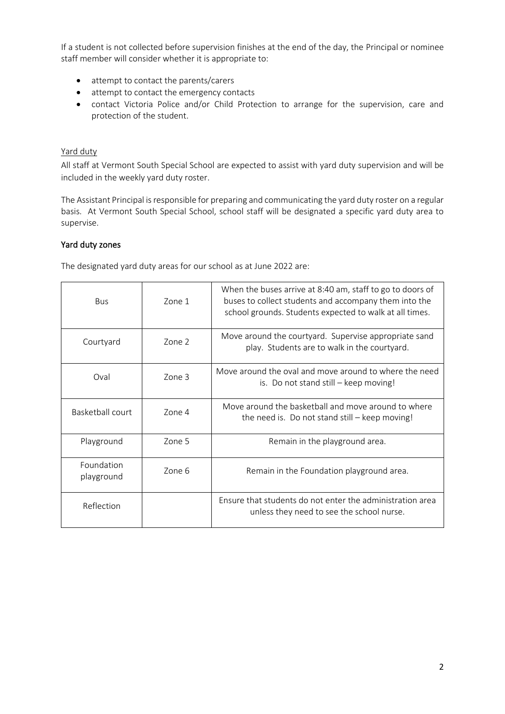If a student is not collected before supervision finishes at the end of the day, the Principal or nominee staff member will consider whether it is appropriate to:

- attempt to contact the parents/carers
- attempt to contact the emergency contacts
- contact Victoria Police and/or Child Protection to arrange for the supervision, care and protection of the student.

# Yard duty

All staff at Vermont South Special School are expected to assist with yard duty supervision and will be included in the weekly yard duty roster.

The Assistant Principal is responsible for preparing and communicating the yard duty roster on a regular basis. At Vermont South Special School, school staff will be designated a specific yard duty area to supervise.

#### Yard duty zones

The designated yard duty areas for our school as at June 2022 are:

| <b>Bus</b>               | Zone 1            | When the buses arrive at 8:40 am, staff to go to doors of<br>buses to collect students and accompany them into the<br>school grounds. Students expected to walk at all times. |
|--------------------------|-------------------|-------------------------------------------------------------------------------------------------------------------------------------------------------------------------------|
| Courtyard                | Zone <sub>2</sub> | Move around the courtyard. Supervise appropriate sand<br>play. Students are to walk in the courtyard.                                                                         |
| Oval                     | Zone 3            | Move around the oval and move around to where the need<br>is. Do not stand still – keep moving!                                                                               |
| Basketball court         | Zone 4            | Move around the basketball and move around to where<br>the need is. Do not stand still - keep moving!                                                                         |
| Playground               | Zone 5            | Remain in the playground area.                                                                                                                                                |
| Foundation<br>playground | Zone 6            | Remain in the Foundation playground area.                                                                                                                                     |
| Reflection               |                   | Ensure that students do not enter the administration area<br>unless they need to see the school nurse.                                                                        |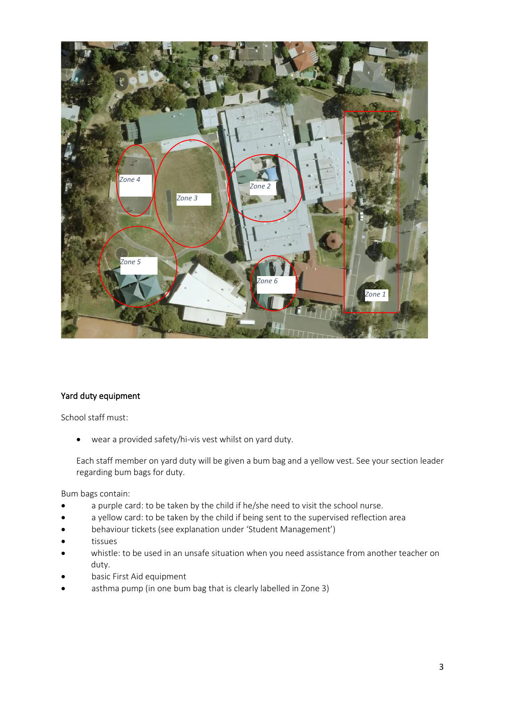

# Yard duty equipment

School staff must:

• wear a provided safety/hi-vis vest whilst on yard duty.

Each staff member on yard duty will be given a bum bag and a yellow vest. See your section leader regarding bum bags for duty.

Bum bags contain:

- a purple card: to be taken by the child if he/she need to visit the school nurse.
- a yellow card: to be taken by the child if being sent to the supervised reflection area
- behaviour tickets (see explanation under 'Student Management')
- tissues
- whistle: to be used in an unsafe situation when you need assistance from another teacher on duty.
- basic First Aid equipment
- asthma pump (in one bum bag that is clearly labelled in Zone 3)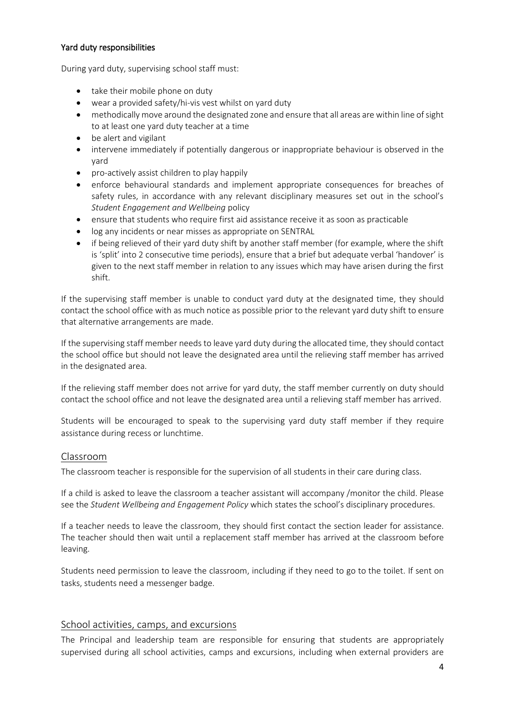#### Yard duty responsibilities

During yard duty, supervising school staff must:

- take their mobile phone on duty
- wear a provided safety/hi-vis vest whilst on yard duty
- methodically move around the designated zone and ensure that all areas are within line of sight to at least one yard duty teacher at a time
- be alert and vigilant
- intervene immediately if potentially dangerous or inappropriate behaviour is observed in the yard
- pro-actively assist children to play happily
- enforce behavioural standards and implement appropriate consequences for breaches of safety rules, in accordance with any relevant disciplinary measures set out in the school's *Student Engagement and Wellbeing* policy
- ensure that students who require first aid assistance receive it as soon as practicable
- log any incidents or near misses as appropriate on SENTRAL
- if being relieved of their yard duty shift by another staff member (for example, where the shift is 'split' into 2 consecutive time periods), ensure that a brief but adequate verbal 'handover' is given to the next staff member in relation to any issues which may have arisen during the first shift.

If the supervising staff member is unable to conduct yard duty at the designated time, they should contact the school office with as much notice as possible prior to the relevant yard duty shift to ensure that alternative arrangements are made.

If the supervising staff member needs to leave yard duty during the allocated time, they should contact the school office but should not leave the designated area until the relieving staff member has arrived in the designated area.

If the relieving staff member does not arrive for yard duty, the staff member currently on duty should contact the school office and not leave the designated area until a relieving staff member has arrived.

Students will be encouraged to speak to the supervising yard duty staff member if they require assistance during recess or lunchtime.

# Classroom

The classroom teacher is responsible for the supervision of all students in their care during class.

If a child is asked to leave the classroom a teacher assistant will accompany /monitor the child. Please see the *Student Wellbeing and Engagement Policy* which states the school's disciplinary procedures.

If a teacher needs to leave the classroom, they should first contact the section leader for assistance. The teacher should then wait until a replacement staff member has arrived at the classroom before leaving.

Students need permission to leave the classroom, including if they need to go to the toilet. If sent on tasks, students need a messenger badge.

# School activities, camps, and excursions

The Principal and leadership team are responsible for ensuring that students are appropriately supervised during all school activities, camps and excursions, including when external providers are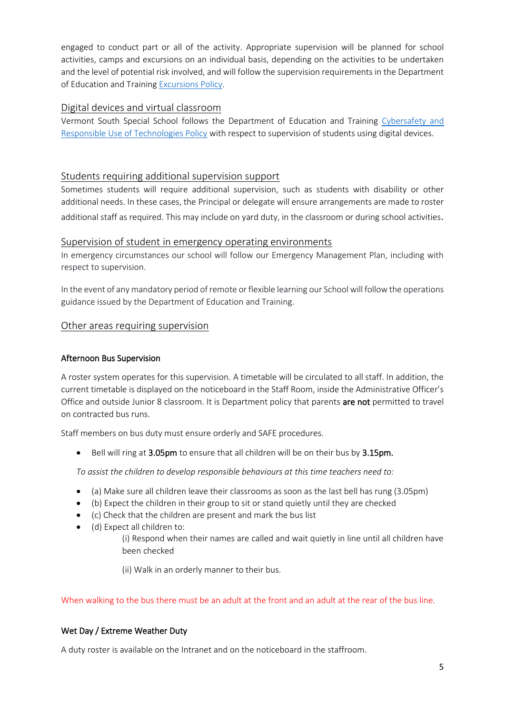engaged to conduct part or all of the activity. Appropriate supervision will be planned for school activities, camps and excursions on an individual basis, depending on the activities to be undertaken and the level of potential risk involved, and will follow the supervision requirements in the Department of Education and Trainin[g Excursions Policy.](https://www2.education.vic.gov.au/pal/excursions/policy)

# Digital devices and virtual classroom

Vermont South Special School follows the Department of Education and Training [Cybersafety and](https://www2.education.vic.gov.au/pal/cybersafety/policy)  [Responsible Use of Technologies Policy](https://www2.education.vic.gov.au/pal/cybersafety/policy) with respect to supervision of students using digital devices.

# Students requiring additional supervision support

Sometimes students will require additional supervision, such as students with disability or other additional needs. In these cases, the Principal or delegate will ensure arrangements are made to roster additional staff as required. This may include on yard duty, in the classroom or during school activities.

# Supervision of student in emergency operating environments

In emergency circumstances our school will follow our Emergency Management Plan, including with respect to supervision.

In the event of any mandatory period of remote or flexible learning our School will follow the operations guidance issued by the Department of Education and Training.

# Other areas requiring supervision

# Afternoon Bus Supervision

A roster system operates for this supervision. A timetable will be circulated to all staff. In addition, the current timetable is displayed on the noticeboard in the Staff Room, inside the Administrative Officer's Office and outside Junior 8 classroom. It is Department policy that parents are not permitted to travel on contracted bus runs.

Staff members on bus duty must ensure orderly and SAFE procedures.

Bell will ring at 3.05pm to ensure that all children will be on their bus by 3.15pm.

*To assist the children to develop responsible behaviours at this time teachers need to:*

- (a) Make sure all children leave their classrooms as soon as the last bell has rung (3.05pm)
- (b) Expect the children in their group to sit or stand quietly until they are checked
- (c) Check that the children are present and mark the bus list
- (d) Expect all children to: (i) Respond when their names are called and wait quietly in line until all children have been checked

(ii) Walk in an orderly manner to their bus.

When walking to the bus there must be an adult at the front and an adult at the rear of the bus line.

# Wet Day / Extreme Weather Duty

A duty roster is available on the Intranet and on the noticeboard in the staffroom.